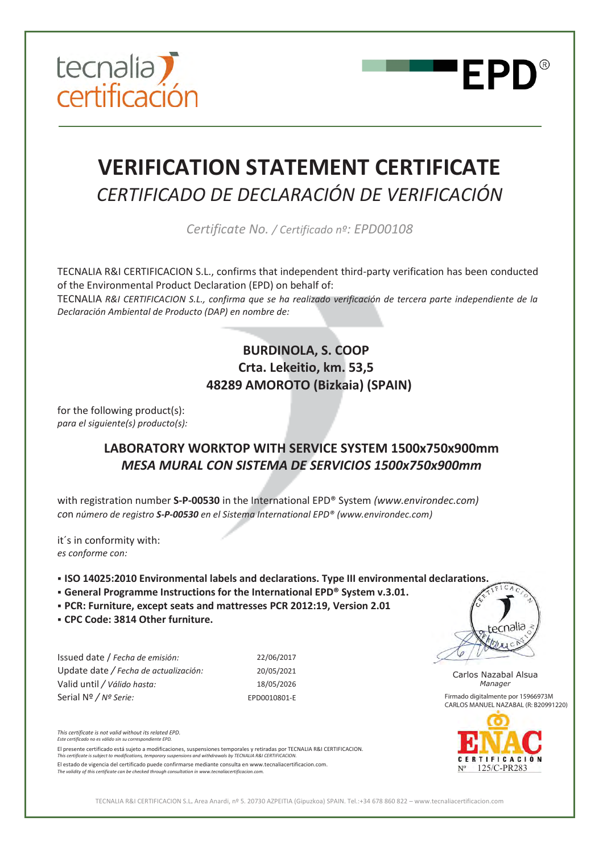



# **VERIFICATION STATEMENT CERTIFICATE**  *CERTIFICADO DE DECLARACIÓN DE VERIFICACIÓN*

*Certificate No. / Certificado nº: EPD00108*

TECNALIA R&I CERTIFICACION S.L., confirms that independent third-party verification has been conducted of the Environmental Product Declaration (EPD) on behalf of:

TECNALIA *R&I CERTIFICACION S.L., confirma que se ha realizado verificación de tercera parte independiente de la Declaración Ambiental de Producto (DAP) en nombre de:* 

### **BURDINOLA, S. COOP Crta. Lekeitio, km. 53,5 48289 AMOROTO (Bizkaia) (SPAIN)**

for the following product(s): *para el siguiente(s) producto(s):*

## **LABORATORY WORKTOP WITH SERVICE SYSTEM 1500x750x900mm**  *MESA MURAL CON SISTEMA DE SERVICIOS 1500x750x900mm*

with registration number **S-P-00530** in the International EPD® System *(www.environdec.com) co*n *número de registro S-P-00530 en el Sistema International EPD® (www.environdec.com)* 

it´s in conformity with: *es conforme con:* 

ß **ISO 14025:2010 Environmental labels and declarations. Type III environmental declarations.** 

- ß **General Programme Instructions for the International EPD® System v.3.01.**
- ß **PCR: Furniture, except seats and mattresses PCR 2012:19, Version 2.01**
- ß **CPC Code: 3814 Other furniture.**

| Issued date / Fecha de emisión:         |
|-----------------------------------------|
| Update date / Fecha de actualización:   |
| Valid until / Válido hasta:             |
| Serial $N^{\circ}$ / $N^{\circ}$ Serie: |

Issued date / *Fecha de emisión:* 22/06/2017 Update date */ Fecha de actualización:* 20/05/2021 Valid until */ Válido hasta:* 18/05/2026 Serial Nº */ Nº Serie:* EPD0010801-E

*This certificate is not valid without its related EPD. Este certificado no es válido sin su correspondiente EPD.* 

El presente certificado está sujeto a modificaciones, suspensiones temporales y retiradas por TECNALIA R&I CERTIFICACION.

*This certificate is subject to modifications, temporary suspensions and withdrawals by TECNALIA R&I CERTIFICACION.* 

El estado de vigencia del certificado puede confirmarse mediante consulta en www.tecnaliacertificacion.com. *The validity of this certificate can be checked through consultation in www.tecnaliacertificacion.com.*



Carlos Nazabal Alsua *Manager* Firmado digitalmente por 15966973M CARLOS MANUEL NAZABAL (R: B20991220)



TECNALIA R&I CERTIFICACION S.L. Area Anardi, nº 5. 20730 AZPEITIA (Gipuzkoa) SPAIN. Tel.:+34 678 860 822 – www.tecnaliacertificacion.com